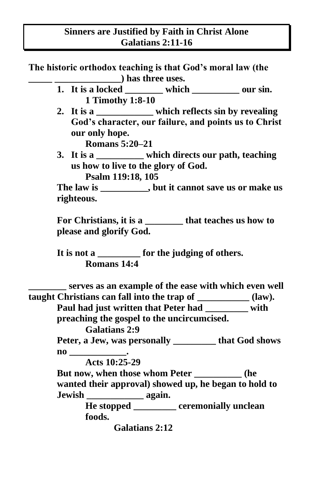**The historic orthodox teaching is that God's moral law (the \_\_\_\_\_ \_\_\_\_\_\_\_\_\_\_\_\_\_\_) has three uses.**

- **1. It is a locked \_\_\_\_\_\_\_\_ which \_\_\_\_\_\_\_\_\_\_ our sin. 1 Timothy 1:8-10**
- **2. It is a \_\_\_\_\_\_\_\_\_\_\_\_ which reflects sin by revealing God's character, our failure, and points us to Christ our only hope. Romans 5:20–21**
- **3. It is a \_\_\_\_\_\_\_\_\_\_ which directs our path, teaching us how to live to the glory of God. Psalm 119:18, 105**

**The law is \_\_\_\_\_\_\_\_\_\_, but it cannot save us or make us righteous.** 

**For Christians, it is a \_\_\_\_\_\_\_\_ that teaches us how to please and glorify God.** 

**It is not a \_\_\_\_\_\_\_\_\_ for the judging of others. Romans 14:4** 

**\_\_\_\_\_\_\_\_ serves as an example of the ease with which even well taught Christians can fall into the trap of \_\_\_\_\_\_\_\_\_\_\_ (law). Paul had just written that Peter had \_\_\_\_\_\_\_\_\_ with preaching the gospel to the uncircumcised. Galatians 2:9 Peter, a Jew, was personally \_\_\_\_\_\_\_\_\_ that God shows no \_\_\_\_\_\_\_\_\_\_\_\_.**

**Acts 10:25-29**

**But now, when those whom Peter \_\_\_\_\_\_\_\_\_\_ (he wanted their approval) showed up, he began to hold to Jewish \_\_\_\_\_\_\_\_\_\_\_\_ again.**

> **He stopped \_\_\_\_\_\_\_\_\_ ceremonially unclean foods.**

**Galatians 2:12**